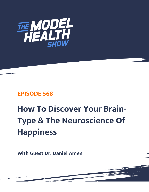

# **EPISODE 568**

# **How To Discover Your Brain-Type & The Neuroscience Of Happiness**

**With Guest Dr. Daniel Amen**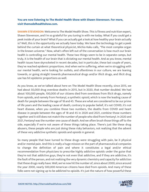# **You are now listening to The Model Health Show with Shawn Stevenson. For more, visit themodelhealthshow.com.**

**SHAWN STEVENSON:** Welcome to The Model Health Show. This is fitness and nutrition expert, Shawn Stevenson, and I'm so grateful for you tuning in with me today. What if you could get a peek inside of your brain? What if you can actually get a look at how healthy your brain actually is? Well, this is the opportunity we actually have today. We have the technology to get a peek behind the curtain at what theoretical physicist, Michio Kaku calls, "The most complex organ in the known universe." Now, what's often left out of the conversation is how much our brain health is controlling our mental health. These two things seem to be in separate camps, but truly, it is the health of our brain that is dictating our mental health. And as you know, mental health issues have skyrocketed in recent decades, but in particular, these last couple of years, they've reached epidemic proportions. And when we're suffering, when we're struggling with our mental health, we're looking for outlets, and oftentimes in our culture, we are leaning towards, or going straight towards pharmaceutical drugs and/or illicit drugs, and illicit drug use has hit epidemic proportions as well.

As you know, as we've talked about here on The Model Health Show recently, since 2015, we had about 50,000 drug overdose deaths in 2015, but in 2020, that number doubled. We had about 100,000 people, 100,000 of our citizens died from overdoses from illicit drugs, namely from opioids, and namely from Fentanyl, a synthetic opioid, which is now the leading cause of death for people between the age of 18 and 45. These are what are considered to be our prime of life years and the leading cause of death, contrary to popular belief, it's not COVID, it's not heart disease, when you combine those two numbers, the deaths from COVID and heart disease in people between the ages of 18 and 45 in 2020 and 2021, combine those numbers together and it still does not match the number of people who died from Fentanyl. In 2020 and 2021, Fentanyl was the number one cause of death. And we often brush those things off to the side, especially if we're not aware of these things taking place. There's just like these drug abusers, these people who are just doing these risky behaviors, not realizing that the advent of these very addictive synthetic opioids and opioids in general.

So many people that have turned to these drugs were struggling with pain, be it physical and/or mental pain. And this is really a huge mission on the part of pharmaceutical companies to change the definition of pain and where it constitutes a legal and/or ethical recommendation from physicians to prescribe highly addictive opioids under the guise that they're not that addictive guys, they're not even that addictive, and if they are addictive, it's the fault of the person, and not realizing the very dynamic chemistry and capacity for addiction that these drugs really have. Well, we've now hit the number of, since about 2000, since around the year 2000, nearly 500,000 American citizens have died from opioids. And many of these [folks were not signing up to be addicted to opioids. It](https://themodelhealthshow.com/dr-daniel-amen/)'[s just the nature of how powerful these](https://themodelhealthshow.com/dr-daniel-amen/) 

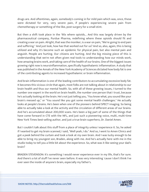drugs are. And oftentimes, again, somebody's coming in for mild pain which was, once, these were dictated for very, very severe pain, if people's experiencing severe pain from chemotherapy or something of the like, post-surgery for a small stint.

But then a shift took place in the '90s where opioids... And this was largely driven by the pharmaceutical company, Purdue Pharma, redefining where these opioids should fit and creating a war on pain. Alright, that was the moniker, is a war on pain, "We're going to end pain and suffering." And just look, how has that worked out for us? And so, also, again, this is being utilized and why it's become such an epidemic for physical pain, but also mental pain and anguish. People are hurting. Our citizens are hurting. And the big missing piece of this is understanding that we're not often given real tools to understanding how our minds work, how amazing brains work, and taking care of the health of our brains. One of the biggest issues growing right now is neuroinflammation, specifically hypothalamic inflammation. A study that was published in the Annals of the New York Academy of Sciences dictated how body fat is one of the contributing agents to increased hypothalamic or brain inflammation.

And brain inflammation is one of the leading contributors to accumulating excessive body fat. It becomes this vicious circle that again, most folks are not talking about in relationship to our brain health and thus our mental health. So, with all of these growing issues, I turned to the number one expert in the world on brain health, the number one person that I trust, because he's actually looking at the brain. He's not just telling you, "You know what, you sound like your brain's messed up," or "You sound like you got some mental health challenges." He actually looks at people's brains. He's been when one of the pioneers behind SPECT imaging. So being able to actually take a look at the activity and the circulation of different areas of our brains. And he's accumulated about 200,000 scans. He's been a big part of some of the things that have come forward in CTE with the NFL, and just such a pioneering voice, multi, multi-time New York Times best-selling author, and just a true brain superhero, Dr. Daniel Amen.

But I couldn't talk about this stuff from a place of integrity unless I experience it. So, he asked if I wanted to get my brain scanned, I said, "Well yeah, I do." And so, I went to Amen Clinics and got a peek behind the curtain and took a look at my own brain. And I was lucky enough to be able to bring my youngest son, Braden, along with me. And he's actually here with me in the studio today to tell you a little bit about the experience. So, what was it like seeing your dad's brain?

BRADEN STEVENSON: It's something I would never experience ever in my life, that's for sure. And there's a lot of stuff I've never seen before. It was very interesting 'cause I don't think I've ever seen the inside of anyone's brain, especially my father's.

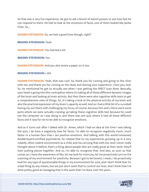So that was a very fun experience. He got to ask a bunch of weird quizzes, to see how fast he can respond to them. He had to look at the emotions of faces, one of them looked like Jackie Chan. So...

**SHAWN STEVENSON:** So, we had a good time though, right?

**BRADEN STEVENSON:** Yeah.

**SHAWN STEVENSON:** You learned a lot.

**BRADEN STEVENSON:** Yes.

**SHAWN STEVENSON:** And you also wrote a paper on it too.

#### **BRADEN STEVENSON:** I did.

**SHAWN STEVENSON:** Yeah, that was cool. So, thank you for coming and going to the clinic with me, and thank you for coming on the show and sharing your experience. I love you, bud. So, he mentioned he got to actually see when I was getting the SPECT scan done. Basically, your head is going into this contraption where it's taking all of these different dynamic images of the brain and looking at brain activity. But then there were also cognitive skills tests to get a comprehensive view of things. So, it's taking a look at the physical activity of my brain and also the practical expression of my brain's capacity as well. And so I had a little bit of a curveball having my son there with challenging my focus, of course, because him and I, there were some parts where we were actually cracking up taking these cognitive skills test because he could see the computer as I was doing it, and there was one quiz where it had all these different faces and it was for me to be able to recognize emotions.

And as it turns out after I talked with Dr. Amen, which I had no idea at the time I was taking the quiz, I do have a negativity bias for faces. I'm able to recognize negativity much, much faster in a human face than I am positive emotions. And talking with this world-renowned, double-board-certified psychiatrist, he related that to my experiences growing up in a very volatile, often violent environment as a child, and me carrying that with me. And I never really thought about it before, that's a thing about people who are really great at their work, they'll start putting pieces together. And so, I'm able to recognize that. And also, as soon as that comes on, I have the awareness of like, let me look for more joy, let me proactively turn on the scanning of my environment for positivity. Because I got to be honest, I mean, I do proactively look for any type of questionable things in my environment for sure, and I don't think that it's a bad thing by any means, but we just don't want that to control our lives. And I think that I've [done pretty good at managing that in the work that I](https://themodelhealthshow.com/dr-daniel-amen/)'[ve done over the years.](https://themodelhealthshow.com/dr-daniel-amen/)

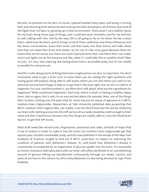But also, he pointed out the fact, of course, I played football many years, and being a running back and returning kicks and punts and running into piles and players, all of those years and all the fights that I've been in, growing up in that environment. There wasn't very healthy inputs for my brain doing those type of things, and I could see some remnants, and for me and him as well, talking with him. And by the way, this is all going to be on his show. He has a show that's called Scan My Brain, and he brings on all of these celebrities and these influencers and has these conversations. Scans their brain, and then looks into their history and talks about how they can make their brain even better. So, for me, it's like scary good. Because there are brains that are far worse, but there are some improvements that I see there that I can make. And it just lights me on fire because just like, what if I could take this to another level? Man, it's just... It's very, very inspiring. But having these tools is accessible today, but it's not readily accessible for everyone yet.

And this is why doing practical things that every single person can do is so important. You don't necessarily need to get a brain scan to know when you are asking the right questions and having good self-analysis, being able to self-assess where you are and where you want to be, and what are practical things to help us to get there? Because right now we are in a deficit of happiness, for sure. And the problem is, we often don't talk about, what are the ingredients for happiness? What constitutes happiness? And truly, where it starts is having a healthy, happy brain. And so again, this is why I'm so very excited about this episode. Now, one of the things that I've been utilizing over the years that Dr. Amen has put his stamp of approval on is MCTs, medium-chain triglycerides. Researchers at Yale University published data purporting that MCTs, medium-chain triglycerides, can readily cross the blood-brain barrier and be utilized by our brain cells. Getting access into this VIP section of our body should be credit enough to their value and their importance, because very few things are readily able to cross the blood-brain barrier, to get that VIP access.

Most stuff needs like retinal scans, fingerprints, passwords and codes, all kinds of hoops that it has to endure in order to make it into the brain, but medium-chain triglycerides get that express pass. Another remarkable study, and this was published in the Annals of the New York Academy of Sciences, sought to find out if MCTs could have an impact on improving the condition of patients with Alzheimer's disease. It's well-noted that Alzheimer's disease is consistently accompanied by an impairment of glucose uptake into the brain. It's essentially an insulin resistance that takes place with our brain cells often attributed to an overwhelming amount of glucose hitting our bloodstream continuously through our weeks, months, and years of our lives in this culture. So, this is why Alzheimer's is also being denoted as Type Three Diabetes.

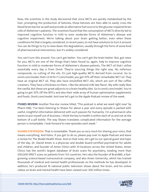Now, the scientists in the study discovered that since MCTs are quickly metabolized by the liver, prompting the production of ketones, those ketones are then able to easily cross the blood-brain barrier as well and provide an alternative fuel source to the glucose-impaired brain cells of Alzheimer's patients. The scientists found that the consumption of MCTs directly led to improved cognitive function in mild to even moderate forms of Alzheimer's disease and cognitive impairment. We're talking about your brain getting better, even when these conditions hit that is largely considered, in recent years, to not have solutions to turn it around. You can do things to try to slow down the degradation, usually through the form of some kind of pharmaceutical intervention, but it's widely considered.

You can't turn this around. You can't get better. You can't get the brain better. But, got news for you, MCTs are one of the things that's been found to, again, help to improve cognitive function in mild to moderate forms of Alzheimer's disease patients. The MCT oil that I utilize essentially every day is from Onnit. They're sourcing things the right way. No nefarious compounds, no cutting of the oils. It's just high-quality MCTs derived from coconut. Go to onnit.com/model, that's O-N-N-I-T.com/model, you get 10% off their remarkable MCT oil. They have an original MCT oil. They also have emulsified MCT oils, which are sort of like coffee creamers. They have a thickness to them. I like the almond milk late flavor. My wife really likes the vanilla. But these are great adjuncts to a brain-healthy diet. Go to onnit.com/model. You're going to get 10% off the MTCs and also their wide array of human optimization supplements and foods. Onnit.com/model. And now let's get to the Apple Podcast review of the week.

**ITUNES REVIEW:** Another five-star review titled, "This podcast is what we need right now" by Pharm KMJ. "I've been listening to Shawn for about a year and every episode is packed with useful, insightful information delivered with such passion for humanity. I'm a pharmacist who wants to put myself out of business. I think the key to health is within each of us and not at the bottom of a pill bottle. The way Shawn translates complicated information for the average person is remarkable. I look forward to new episodes each week."

**SHAWN STEVENSON:** That is remarkable. Thank you so very much for sharing your voice, that means everything. And listen, if you get to do so, please pop over to Apple Podcast and leave a review for The Model Health Show. And on that note, let's get to our special guest and topic of the day. Dr. Daniel Amen is a physician and double board-certified psychiatrist for adults and children, and founder of Amen Clinics with 10 locations across the United States. Amen Clinics has the world's largest database of brain scans for psychiatry, totaling more than 200,000 SPECT scans on patients from 155 countries. He's also the founder of BrainMD, a fastgrowing science-based nutraceutical company, and also Amen University, which has trained thousands of medical and mental health professionals on the methods he has developed. In addition, he's produced 16 national public television shows about the brain, and his online [videos on brain and mental health have been viewed over 300 million times.](https://themodelhealthshow.com/dr-daniel-amen/)

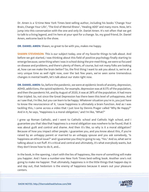Dr. Amen is a 12-time New York Times best-selling author, including his books "Change Your Brain, Change Your Life", "The End of Mental Illness", "Healing ADD" and many more. Now, let's jump into this conversation with the one and only Dr. Daniel Amen. It's not often that we get to talk to a living legend, and I'm here at your spot for a change. So, my good friend, Dr. Daniel Amen, welcome back to the show.

**DR. DANIEL AMEN:** Shawn, so great to be with you, makes me happy.

**SHAWN STEVENSON:** This is our subject today, one of my favorite things to talk about. And before we got started, I was thinking about this field of positive psychology finally starting to emerge because, same thing when I was in school doing the pre-med thing, we were so focused on disease and problems, and there's plenty of them, of course, but not many folks are looking at, how can we make the brain better? So, the first thing I want to ask you about is, we're at a very unique time as well right now, over the last few years, we've seen some tremendous changes in mental health, let's talk about our state right now.

**DR. DANIEL AMEN:** So, before the pandemic, we were at epidemic levels of anxiety, depression, ADHD, addictions, the opioid epidemic, for example, depression was at 8.5% of the population, and then the pandemic hit, and by August of 2020, it was at 28% of the population. It had more than tripled. So, not since the Great Depression has there been this level of unhappiness. And as I saw that, I'm like, but you can learn to be happy. Whatever situation you're in, you just have to know the neuroscience of it, 'cause happiness is ultimately a brain function. And as I was tackling this, I came across a video that I just love by Dennis Prager called "Why Be Happy?" And in it, he says, "Happiness is a moral obligation," and I'm like, "What?"

I grew up Roman Catholic, and I went to Catholic school and Catholic high school, and I guarantee you that idea that happiness is a moral obligation was nowhere to be found, that it was about guilt and control and shame. And then it's like, so why is it a moral obligation? Because of how you impact other people. I guarantee you, and you know about this, if you're raised by an unhappy parent or married to an unhappy spouse and you ask somebody, "Is happiness an ethical issue?" and I guarantee you they're going to say, "Yes." And so, what we're talking about is not fluff. It's critical and central and ultimately, it's what everybody wants, but they don't know how to do it, and...

In the book, in the opening, I start with the lies of happiness, like more of something will make you happier. And I have a number-one New York Times best-selling book. Another one's not going to make me happier. That ultimately, happiness is in the little things that happen day in and day out, that hedonism is the enemy of happiness because it wears out your pleasure [centers.](https://themodelhealthshow.com/dr-daniel-amen/)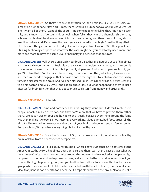**SHAWN STEVENSON:** So that's hedonic adaptation. So, the brain is... Like you just said, you already hit number one, New York Times, there isn't like a number above one unless you're just like, "I want all of them. I want all the spots." And some people think like that. And you've seen this, and I know that I've seen this as well, when folks, they win the championship or they achieve that highest level in whatever it is that they're doing, and then they sink, they kind of lose themselves. And it's because the brain gets acclimated to that high. Even the things that... The pleasure things that we seek today, I would imagine, like if we're... Whether people are utilizing technology or porn or whatever the case might be, you constantly need more and more and more to have the same level of normalcy in a sense. Is that accurate?

**DR. DANIEL AMEN:** Well, there's an area in your brain... So, there's a neuroscience of happiness and the area in your brain that feels pleasure is called the nucleus accumbens, and it responds to a number of neurotransmitters, but primarily dopamine. And when dopamine hits it, you go, "Oh, I like that." But if it hits it too strong, cocaine, or too often, addiction, it wears it out, and then you need to engage in that behavior, not to feel high, but to feel okay. And this is why fame is a disaster for the brain. And I've been blessed, I'm in Justin Bieber's docu-series Seasons, to be his doctor, and Miley Cyrus, and I adore these kids, but what happened to them is just a disaster for brain function that they get so much cool stuff from money and drugs and...

# **SHAWN STEVENSON: Notoriety.**

**DR. DANIEL AMEN:** Fame and notoriety and anything they want, but it doesn't make them happy. In fact, it makes them sad. And they don't know that we have to protect them rather than... Like Justin was on tour and he had to end it early because everything around the fame was then making it worse. So not sleeping, overworking, video games, bad food, drugs, all the girl... It's like everything to wear out that part of your brain and you just end up feeling awful. And people go, "But you have everything," but not a healthy brain.

**SHAWN STEVENSON:** Yeah, that's powerful. So, the neuroscience... So, what would a healthy brain look like from a neuroscience perspective?

**DR. DANIEL AMEN:** So, I did a study for this book where I gave 500 consecutive patients at the Amen Clinics, the Oxford happiness questionnaire, and then I scan them, 'cause that's what we do at Amen Clinics. I now have 10 clinics around the country. And we looked at people at high happiness scores versus low happiness scores, and you had better frontal lobe function if you were in the high happiness group, and you had low frontal lobe function in the low happiness group, which means don't let children hit soccer balls with their foreheads, that's a really bad [idea. Marijuana is not a health food because it drops blood flow to the brain. Alcohol is not a](https://themodelhealthshow.com/dr-daniel-amen/) 

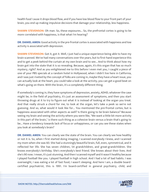health food 'cause it drops blood flow, and if you have low blood flow to your front part of your brain, you end up making impulsive decisions that damage your relationship, less happiness.

**SHAWN STEVENSON:** Oh man. So, these exposures... So, the prefrontal cortex is going to be more correlated with happiness, is that what I'm hearing?

**DR. DANIEL AMEN:** Good activity in the pre-frontal cortex is associated with happiness and low activity is associated with depression.

**SHAWN STEVENSON:** Got it, got it. Well, I just had a unique experience being able to have my brain scanned. We've had many conversations over the years, but to first-hand experience this and to get a peek behind the curtain at my own brain and to see... And to think about how my brain got into the state that it is so revealing. Because, again, it's this organ that has so much mystery, right? And as you enlightened me to this before I even met you, I caught a piece of one of your PBS specials at a random hotel in Hollywood, when I didn't live here in California, and I was just riveted by the concept of folks are coming in, maybe they have a heart issue, you can actually look at the heart, you could take a look at the activity, you can get a good beat on what's going on there. With the brain, it's a completely different thing.

If somebody's coming in, they have symptoms of depression, anxiety, ADHD, whatever the case might be, in the field of psychiatry, it's just an assessment of symptoms, and then you start throwing drugs at it to try to figure out what it is instead of looking at the organ you treat. And that really struck a chord for me, to look at the organ, let's take a peek so we're not guessing. And so, what would it look like for... You mentioned the pre-frontal cortex, but is happiness associated with other aspects as well? Is there going to be brain balance? Because seeing my brain and seeing the activity where you were like, "We want a little bit more activity in this part of the brain," is there such thing as a cohesive brain versus a brain that's going to be... Have a tendency towards lack of focus or unhappiness, or can you see these states when you look at somebody's brain?

**DR. DANIEL AMEN:** You can clearly see the state of the brain. You can clearly see how healthy or not it is. So, when I first started doing imaging, I scanned everybody I knew, and I scanned my mom when she was 60. She had a stunningly beautiful brain, full, even, symmetrical, and it reflected her life. She has seven children, 54 grandchildren, and great-grandchildren. She knows everybody's birthday. She's everybody's best friend. She knows about their lives. And she's 90 now. I mean, it's just stunning. And then I scanned myself and it wasn't healthy because I played football like you. I played football in high school. And I had a lot of bad habits. I was overweight, I was eating a lot of fast food, I wasn't sleeping. And here I am, a double boardcertified psychiatrist, this is 1991. I'm board-certified in general psychiatry, child, and

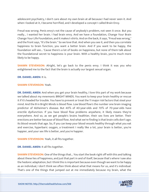adolescent psychiatry, I don't care about my own brain at all because I had never seen it. And when I looked at it, I became horrified, and I developed a concept I called Brain Envy.

Freud was wrong. Penis envy's not the cause of anybody's problem, not seen it once. But you really... I wanted her brain. I had brain envy. And we have a foundation, Change Your Brain Change Your Life Foundation, and it makes t-shirts. And on the back, it says, "Freud was wrong," and the front says, "It's the brain." So we love that. And when you see it, and then you correlate happiness to brain function, you want a better brain. And if you want to be happy, the foundation will see... 'Cause there's a lot of books on happiness, but none of them talk about the foundational secret to happiness is your brain. With a healthy brain, you're much more likely to be happy.

**SHAWN STEVENSON:** Alright, let's go back to the penis envy. I think it was you who enlightened me to the fact that the brain is actually our largest sexual organ.

#### **DR. DANIEL AMEN:** It is.

#### **SHAWN STEVENSON:** Yeah.

**DR. DANIEL AMEN:** And when you get your brain healthy, I love this part of my work because we talked about my mnemonic BRIGHT MINDS. You want to keep your brain healthy or rescue it if it's headed for trouble. You have to prevent or treat the 11 major risk factors that steal your mind. And the B in Bright Minds is blood flow. Low blood flow's the number one brain imaging predictor of Alzheimer's disease. But 40% of 40-year-olds and 70% of 70-year-olds have erectile dysfunction. If you have blood flow problems anywhere, it likely means they're everywhere. And so, as we get people's brains healthier, their sex lives are better. Their erections are better because of blood flow. And what we're finding is that brain cells don't age. Its blood vessels that age. So, if you can keep your blood vessels healthy through what you eat and exercise, hyperbaric oxygen, a treatment I really like a lot, your brain is better, you're happier, and your sex life is better, and you're happier.

**SHAWN STEVENSON:** Yeah, it all fits together.

**DR. DANIEL AMEN:** It all fits together.

**SHAWN STEVENSON:** One of the things that... You start the book right off with this and talking about these lies of happiness, and just that part in and of itself, because that's where I saw also the hedonic adaptation, but I think this is important because even though we want to be happy as an individual, I don't think we often think about what that means for us, and it's individual. [That](https://themodelhealthshow.com/dr-daniel-amen/)'[s one of the things that jumped out at me immediately because my brain, what the](https://themodelhealthshow.com/dr-daniel-amen/)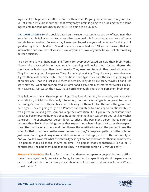ingredient for happiness is different for me than what it's going to be for you or anyone else. So, let's talk a little bit about that, that everybody's brain is going to be looking for the same ingredients for happiness because, for us, it's going to be unique.

**DR. DANIEL AMEN:** So, the book is based on the seven neuroscience secrets of happiness that very few people talk about or know, and like brain health is foundational, and each of these secrets has a question. So, every day I want you to just ask yourself what you're doing. Is it good for my brain or bad for it? Good from my brain, or bad for it? If you can answer that with information and love, love of yourself, love of your kids, love of your wife, you just start making better decisions.

The next one is, well happiness is different for everybody based on how their brain works. There's the balanced brain type, mostly anything will make them happy. There's the spontaneous brain type. They need novelty. They need excitement. They need stimulation. They like jumping out of airplanes. They like helicopter skiing. They like scary movies because it gives them a dopamine rush. Take a cautious brain type, they hate the idea of jumping out of an airplane. That will just make them miserable. They don't like scary movies. I don't like scary movies. I went and saw Amityville Horror and it gave me nightmares for weeks. I'm like, no, no. Life is... Just watch the news, that's horrible enough. There's the persistent brain type.

They hold onto things. They loop on things. They love rituals. So, for example, even choosing your religion, which I find this really interesting, the spontaneous type is not going to choose becoming Catholic or Lutheran because it's boring for them. It's like the same thing over and over again. They're going to go to a Pentecostal church or to a non-denominational church with great music and great sermons keep their attention. But if you're the persistent brain type, you become Catholic, or you become something that has ritual where you just know what to expect. The spontaneous person loves surprises. The persistent person hates surprises because they like it when things go as they expect, and when things don't go as they expect, they often can have tantrums. And then there's the sensitive type, and the pandemic was the worst for that group because they need connection, they're deeply empathic, and the isolation just drove drinking and drug abuse and depression for that type, and then the cautious type. And you could always tell what their brain type is by how early they are for their appointments. The person that's balanced, they're on time. The person that's spontaneous is five or 10 minutes late. The persistent person is on time. The cautious person's 10 minutes early.

**SHAWN STEVENSON:** This is so fascinating. And then to get a peek at people's brains to affirm these things is just really remarkable. So, I got a question just specifically about the persistence type, would there be more activity in a certain part of the brain that you would, see? Where would that be?

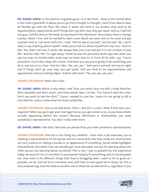**DR. DANIEL AMEN:** In the anterior cingulate gyrus, so in the front... Deep in the frontal lobes is the brain's gearshift, it allows you to go from thought to thought, move from idea to idea, be flexible, go with the flow. But when it works too hard in my studies, they tend to be argumentative, oppositional, and if things don't go their way, they get upset. And so, I had this one guy, I tell the story in the book, he was head of the Alzheimer's Association here in Orange County, where I live, and he wanted to learn more about my work, and so he came and got scanned. And as I sat down with him, I said, "Tell me about yourself," and he said, "No, I don't want to say anything about myself. I want you to tell me about myself from my scan." And I'm like, "No, that's not how it works. We always take your scan and put it in the context of your life." And he's like, "No." So right away, I knew he was the persistent brain type. But when you saw his scan, his frontal lobes work way too hard. And so, in front of his wife, I go, "You're persistent. You're like a dog with a bone. And when you say you're going to do something, you do it, and you're on time." And he's like, "Yes, yes, yes." "And you're worried and you're rigid, and if things don't go your way, you get upset. And you tend to be argumentative and oppositional, and you hold grudges." And his wife went, "Yes, yes, yes, yes, yes."

**SHAWN STEVENSON:** Wow, this is like...

**DR. DANIEL AMEN:** Which is why when I met Tana, you know Tana, my wife, I really liked her. She's beautiful and she's smart, and three weeks later, I'm like, "You haven't seen the clinic. Don't you want to see the clinic?" 'Cause I needed to scan her, 'cause I'm not going to fall in love with her unless I knew what her brain looked like.

**SHAWN STEVENSON:** Got to see that brain. That's... But this is smart. What if that was a prerequisite? When you go to get your marriage license, you get a brain scan, so you know what's actually happening behind the curtain? Because oftentimes in relationships, you meet somebody's representative. You don't really meet them.

**DR. DANIEL AMEN:** I like that. I like how you phrase that; you meet someone's representative.

**SHAWN STEVENSON:** And this is the thing too, whether... Even with a job interview, you're meeting a representative of the person and not necessarily who they really are. And humans are very creative at making a facade or an appearance of something. Social media highlights that perfectly. But what if we can actually get more educated, not just for learning about the other person but learning about ourselves? This is why I was so grateful for the experience today, because for me, it's not that I'm necessarily trying to fix something, which a lot of people are, they want to fix different things that they're struggling with, I want to be as good as I possibly can be. And we lie to ourselves even with that on how good we're doing. So, this is very empowering. And this leads to another one of these lies as well which is, regardless, if you

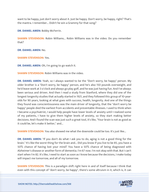want to be happy, just don't worry about it. Just be happy. Don't worry, be happy, right? That's the mantra. I remember... Didn't he win a Grammy for that song?

**DR. DANIEL AMEN:** Bobby McFerrin.

**SHAWN STEVENSON:** Robin Williams... Robin Williams was in the video. Do you remember that?

**DR. DANIEL AMEN:** No.

**SHAWN STEVENSON:** Yes.

**DR. DANIEL AMEN:** Oh, I'm going to go watch it.

**SHAWN STEVENSON:** Robin Williams was in the video.

**DR. DANIEL AMEN:** Yeah, so I always wanted to be the "Don't worry, be happy" person. My older brother is a "Don't worry, be happy" person, and he's also 150 pounds overweight, and he'd leave work at 3 o'clock and always go play golf, and he was just having fun. And I've always been serious and driven. And then I read a study from Stanford, where they did one of the longest longevity studies that actually started in 1921, and they followed this group of 10-yearolds for 90 years, looking at what goes with success, health, longevity. And one of the things they found was conscientiousness was the main driver of longevity, that the "don't worry be happy" people died the earliest from accidents and preventable illnesses. I used to think when I became a psychiatrist, I would help people have lower levels of anxiety until I realized some of my patients, I have to give them higher levels of anxiety, so they start making better decisions. And I found the scan was just such a great tool, it's like, "Your brain is not as good as it could be, let's make it better," and...

**SHAWN STEVENSON:** You also showed me what the downside could be too. It's just like...

**DR. DANIEL AMEN:** "If you don't do what I ask you to do, aging is not a good thing for the brain." It's like the worst thing for the brain and... Did you know if you live to be 85, you have a 50% chance of having lost your mind? You have a 50% chance of being diagnosed with Alzheimer's disease or another form of dementia. I'm 67 now. I'm not okay with that. But I can't start when I'm 82. It's like, I need to start as soon as I know because the decisions, I make today will impact me tomorrow, and all of my tomorrow.

**SHAWN STEVENSON:** This is a paradigm shift right here in and of itself because I think that [even with this concept of "don](https://themodelhealthshow.com/dr-daniel-amen/)'[t worry, be happy", there](https://themodelhealthshow.com/dr-daniel-amen/)'[s some altruism in it, which is, it can](https://themodelhealthshow.com/dr-daniel-amen/) 

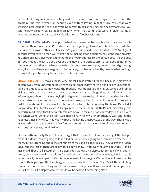be, don't let things anchor you or tie you down or control you, but to ignore them, that's the problem. And this is what I'm hearing even with following in that study, folks that were ignoring intelligent advice of like avoiding certain things or having some healthy anxiety... You said healthy anxiety, giving people anxiety, when that term, that word is given so much negative connotation, it's actually valuable, human feedback, is it not?

**DR. DANIEL AMEN:** What's the appropriate dose of anxiety? Too much is bad, it causes people to suffer. There's a verse in Proverbs, that the beginning of wisdom is fear of the Lord. And that used to always bother me. I'm like, "Why am I supposed to be afraid of God?" And I got it because if you have no fear, you might not be making good decisions. You want some anxiety. You shouldn't just give your phone number or your address to the person you... To the cute girl, you met at the bar. Do you ever see the movie Fatal Attraction? It's just good to not drive 100 miles an hour down the freeway in the rain, because you can play out what could go wrong. Now, if you stay there, you're going to be unhappy, but having a healthy dose of what could go wrong helps you be happy because you protect yourself.

**SHAWN STEVENSON:** Makes sense. Very logical. I'm so grateful for this because I think we've gotten away from understanding... We're so external today that we don't really understand, take the time just to acknowledge the feedback our bodies are giving us, what our brain is giving us, whether it's anxiety or even happiness. What is this guiding me to? What is this informing me about that I'm enjoying? And getting these tools, this leads to another lie, which we're outsourcing our emotions to people who are profiting from us. And one of those is like fast-food restaurants, for example. It hit me like a ton of bricks reading the book. It's called A Happy Meal. It's literally called A Happy Meal. I mean, damn, if that's not marketing, like powerful marketing, that I definitely fell into because for me, I had a birthday... I shared with you when we're doing the brain scan that I live with my grandmother, it was one of the happiest times in my life. That was my first time having a Happy Meal, by the way. There was a McDonald's... There was only one fast food restaurant that was close to us, it was a McDonald's, and they had a playground inside.

I had a birthday party there. I'll never forget that. It was like, of course, you got the ball pit, without a doubt you're going to lose a kid or somebody's going to throw up or whatever in there. But just thinking about the characters of McDonald's, they're all... They've got the Happy Meal, but the rest of them are really dark. I don't know if you ever thought about this. Ronald McDonald, first of all, Dr. Amen, is a clown. I don't know... No disrespect to the clowns, but I'm pretty sure most people are a little freaked out by clowns. And then you've got Grimace, his name literally denotes pain. He's this big overweight purple guy. We don't even know what he is. And then you got the Hamburglar, he's a convicted criminal. There's all these sketchy characters, but they're telling you this is the way to happiness. It's a smile and this happy meal. [So, is it true? Is it a Happy Meal or should we be calling it something else?](https://themodelhealthshow.com/dr-daniel-amen/) 

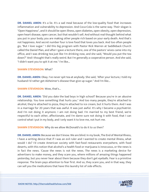**DR. DANIEL AMEN:** It's a lie. It's a sad meal because of the low-quality food that increases inflammation and vulnerability to depression. And Coca-Cola is the same way. Their slogan is "Open Happiness", and it should be open illness, open diabetes, open obesity, open depression, open heart disease, open cancer, but that wouldn't sell. And without real thought behind what you put in your body; you are making other people rich based on your early death. And that's not happiness. And secret number four is love food that loves you back. And too often people go, "But I love sugar." I did this big program with Pastor Rick Warren at Saddleback Church called the Daniel Plan, and after I gave a lecture there, one of the pastors' wives came into my office, and I was drinking tea just like I'm drinking now, and she said, "Would you put the tea down?" And I thought that's really weird. But I'm generally a cooperative person. And she said, "I didn't want you to spit it at me." I'm like...

#### **SHAWN STEVENSON:** What?

**DR. DANIEL AMEN:** Okay. I've never spit tea at anybody. She said, "After your lecture, I told my husband I'd rather get Alzheimer's disease than give up sugar." And I'm like...

#### **SHAWN STEVENSON:** Wow, that's...

**DR. DANIEL AMEN:** "Did you date the bad boys in high school? Because you're in an abusive relationship. You love something that hurts you." And too many people, they're attached to alcohol, they're attached to pizza, they're attached to ice cream, but it hurts them. And I was in a marriage for 20 years that was awful. It was just awful. It's why I became a psychiatrist. And I'm not doing it anymore. I am not doing bad. I'm married to my best friend, we're respectful to each other, affectionate, and I'm damn sure not doing it with food, that I can control what I put in my body, and I only want it to love me, not hurt me.

**SHAWN STEVENSON:** Why do we allow McDonald's to do it to us then?

**DR. DANIEL AMEN:** Because we don't know. We are blind. In my book, The End of Mental Illness, I have a writing device that if I was an evil ruler and I wanted to create mental illness, what would I do? I'd create American society with fast-food restaurants everywhere, with food deserts, with this notion that alcohol's a health food or marijuana is innocuous, or the news is in fact the news. 'Cause the news is not the news. The news is a marketing device for advertisers to make money, and they scare you, where millions of amazing things happened yesterday, but you never hear about them because they don't get eyeballs. Fear is a primitive response. The brain pays attention to fear first. And so, they scare you, and in that way, they can sell you the medications that have this laundry list of side effects.

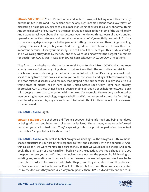**SHAWN STEVENSON:** Yeah, it's such a twisted system. I was just talking about this recently, but the United States and New Zealand are the only high-income nations that allow television marketing or just, period, direct-to-consumer marketing of drugs. It's a very abnormal thing. And coincidentally, of course, we're the most drugged nation in the history of the world, really. And I want to ask you about this too because you mentioned things were already trending upward at a shocking rate. We're almost at about one out of 10, essentially one out of 10 of our citizens having depression prior to the pandemic hitting the scene, and then things doubling, tripling. This was already a big issue. And the ingredient's here because... I think this is so important because... I sent you this study. Let's talk about this. I sent you this study yesterday, and it was a big study done by the CDC, and they were looking at what the biggest risk factors for death from COVID was. It was over 800 US hospitals, over 540,000 COVID-19 patients.

They found that obesity was the number one risk factor for death from COVID, which we knew already. We aren't doing anything about it, but we knew that. The second leading risk factor, which was the most shocking for me that it was published, not that it's a thing because I could see it coming from a mile away, as I know you could, the second leading risk factor was anxiety and fear-related disorders. And for me, that jumped right out because it really spoke to our tragic state of mental health here in the United States specifically. Right now, anxiety, depression, ADHD, these things have all been trending up, but it's been heightened. And I don't think people make that connection with the news, for example. They're very well-versed at manipulating human psychology to get eyeballs, and it's not necessarily... And the first thing I want to ask you about is, why are we tuned into them? I think it's this concept of like we need to be informed.

# **DR. DANIEL AMEN:** Right.

**SHAWN STEVENSON:** But there's a difference between being informed and being inundated or being informed and being controlled or manipulated. There's many ways to be informed, but when you start to feel that... They're speaking right to a primitive part of our brain, isn't that, right? Can you talk a little about that?

**DR. DANIEL AMEN:** Yeah. I call it, Global Amygdala Hijacking. So, the amygdala is this almondshaped structure in your brain that responds to fear, and especially with the pandemic. And I think a lot of it, we were manipulated purposefully so that we would act like sheep. And in my book, The Brain Warrior's Way, I'm like, I basically ask the question, "Are you a sheep or are you sheepdog, or are you a wolf?" And the wolves were out for the pandemic, frightening us, isolating us, separating us from each other. We're a connected species. We have to be connected in order to feel okay, in order to feel happy, and they separated us and then stressed us. Businesses went out of business. People lost their job. There was this chronic anxiety. And [I think the decisions they made killed way more people than COVID did and will continue to kill](https://themodelhealthshow.com/dr-daniel-amen/)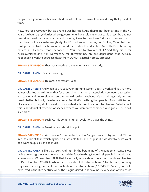people for a generation because children's development wasn't normal during that period of time.

Now, not for everybody, but as a rule, I was horrified. And there's not been a time in the 40 years I've been a psychiatrist where governments have told me what I could prescribe and not prescribe based on my education and training. I was furious, I am furious at the reaction so that they could vaccinate everybody. And I'm not an anti-vaxxer, but I'm like, "Don't tell me I can't prescribe hydroxychloroquine. I read the studies. I'm educated. And if that's a choice my patient and I choose, that's between us. You need to stay out of it." And they did it for hydroxychloroquine, for Ivermectin, for fluvoxamine, an anti-depressant that actually happened to work to decrease death from COVID, is actually pretty effective.

**SHAWN STEVENSON:** That was shocking to me when I saw that study...

**DR. DANIEL AMEN:** It's so interesting.

**SHAWN STEVENSON:** This anti-depressant, yeah.

**DR. DANIEL AMEN:** And when you're sad, your immune system doesn't work and you're more vulnerable. And we've known that for a long time, that there's association between depression and cancer and depression and autoimmune disorders. Yeah, no, it's a shocking study. And we can do better, but only if we have a voice. And that's the thing that people... This politicization of science, it's, they shut down doctors who had a different opinion. And I'm like, "What about this is not denial of freedom of speech, where you demonize someone who goes, 'No, I don't like this'?"

**SHAWN STEVENSON:** Yeah. At this point in human evolution, that's the thing...

**DR. DANIEL AMEN:** In American society, at this point...

**SHAWN STEVENSON:** We think we're so evolved, and we've got this stuff figured out. Throw in a little bit of fear, which again, it's justifiable fear, and it's just like we devolved, we went backward so quickly and so much.

**DR. DANIEL AMEN:** I like that term. And right in the beginning of the pandemic, 'cause I was online on Instagram almost every day, and the favorite thing I would tell people is I would read an essay from CS Lewis from 1948 that he actually wrote about the atomic bomb, and I'm like, "Let's just replace COVID-19 where he writes about the atomic bomb." And he said, "In many ways, we think a great deal too much about the atomic bomb," COVID-19, "when you could [have lived in the 16th century when the plague visited London almost every year, or you could](https://themodelhealthshow.com/dr-daniel-amen/) 

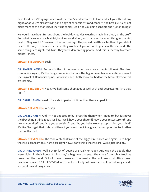have lived in a Viking age when raiders from Scandinavia could land and slit your throat any night, or as you're already living, in an age of car accidents and cancer." And he's like, "Let's not make more of this than it is. If the virus comes, let it find you doing sensible and human things."

He would have been furious about the lockdowns, kids wearing masks in school, all the stuff. And what I saw as a psychiatrist, families got divided, and that was the worst thing for mental health. They wouldn't see each other at holidays. They would belittle each other. If you didn't believe the way I believe either side, they would cut you off. And I just saw the media do the same thing, left, right, red, blue. They were demonizing people. And this is the way to create mental illness.

#### **SHAWN STEVENSON:** Yeah.

**DR. DANIEL AMEN:** So, who's the big winner when we create mental illness? The drug companies. Again, it's the drug companies that are the big winners because anti-depressant use skyrocket. Benzodiazepines, which you and I both know are bad for the brain, skyrocketed. It's insanity.

**SHAWN STEVENSON:** Yeah. We had some shortages as well with anti-depressants, isn't that, right?

**DR. DANIEL AMEN:** We did for a short period of time, then they ramped it up.

# **SHAWN STEVENSON:** Yep, yep.

**DR. DANIEL AMEN:** And I'm not opposed to it. I prescribe them when I need to, but it's never the first thing I think about. It's like, "Well, how's your thyroid? How's your testosterone?" and "How's your diet?" and "Are you exercising?" and "Do you believe every stupid thing you think?" It's like, "Let's get that right, and then if you need medicine, great," as a supportive tool rather than as the tool.

**SHAWN STEVENSON:** The tool, yeah, that's one of the biggest mistakes. And again, I just hope that we learn from this. As we are right now, I don't think that we are. We're just kind of...

**DR. DANIEL AMEN:** Well, I think lot of people are really unhappy. And even the people that were hiding in their house, I think they're beginning to see... The study from Johns Hopkins came out that said, "All of these measures, the masks, the lockdowns, shutting down businesses saved 0.2% of COVID deaths. I'm like... And you know that's not considering suicide and job loss and drug abuse...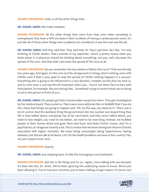#### **SHAWN STEVENSON:** Yeah, in all the other things that...

**DR. DANIEL AMEN:** We made mistakes.

**SHAWN STEVENSON:** All the other things that come from that, even when somebody is unemployed, they have a 40% increase in their incidents of having a cardiovascular event. It's just like all of those other things were suddenly not considered. It was this one-size-fits-all...

**DR. DANIEL AMEN:** And they said that. They said that. Dr. Fauci said that. He's like, "I'm only thinking of COVID deaths. That's outside of my expertise," which is pretty insane when you think about it. A physician should be thinking about everything, not just, well, decrease the spread of the virus. And that didn't decrease the spread of the virus at all.

**SHAWN STEVENSON:** Do you remember the two weeks to flatten the curve? That was literally two years ago. And again, it's this one-size-fits-all approach to things which nothing, even with COVID, even if that is your goal to stop the spread of COVID, nothing happens in a vacuum. Everything else is going to be influenced in a very dynamic, complex society that we exist in, and to even have a one-size-fits-all treatment when you... You're not there face-to-face with that patient, for example, like you having that... Somebody trying to control what you're doing to serve the person in front of you...

**DR. DANIEL AMEN:** Oh, people got their licenses taken away from them. They got investigated by the medical board. They scared us. There were even editorials like on WebMD that if you do this, these bad things are going to happen and, "Oh, by the way, you deserve it." There was a lot of control. And the dumbest thing the government did, the number one stupid thing they did is they talked about, everybody has to be vaccinated, and they never talked about, you need to lose weight, you need to eat better, we need to be exercising. Instead, we huddled people in their homes afraid and gave them bad food. And that's frickin' insane. And I'm a psychiatrist, so I diagnose insanity a lot. This is insane that we know having low Vitamin D levels associated with higher mortality. We know being overweight, being hypertensive, having diabetes, but did we talk at all about, Let's fix the health problems we have in this country? No, we just created more. And...

**SHAWN STEVENSON: Exactly.** 

**DR. DANIEL AMEN:** Just stepping back, it's like the messaging is just backward.

**SHAWN STEVENSON:** But this is the thing, and I'm so... Again, I love talking with you because it's been like this, Dr. Amen. We've been ignoring the underlying cause of issues. We've just [been allowing it. You](https://themodelhealthshow.com/dr-daniel-amen/)'[ve had your universe, you](https://themodelhealthshow.com/dr-daniel-amen/)'[ve been making a huge impact, of course, but](https://themodelhealthshow.com/dr-daniel-amen/)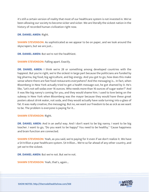it's still a certain version of reality that most of our healthcare system is not invested in. We've been allowing our society to become sicker and sicker. We are literally the sickest nation in the history of recorded human civilization right now.

**DR. DANIEL AMEN:** Right.

**SHAWN STEVENSON:** As sophisticated as we appear to be on paper, and we look around the skyscrapers, but we are just...

**DR. DANIEL AMEN:** But we're not the healthiest.

**SHAWN STEVENSON: Falling apart. Exactly.** 

**DR. DANIEL AMEN:** I think we're 28 or something among developed countries with the happiest. But you're right, we're the sickest in large part because the politicians are funded by big pharma, big food, big agriculture, and big energy. And you got to go, how does this make sense where there are fast food restaurants everywhere? And the messaging is... In fact, when Bloomberg in New York actually tried to get a health message out, he got shamed by it. He's like, "Let's not sell sodas over 16 ounces. Who needs more than 16 ounces of sugar water?" And it was like big nanny's coming for you, and they would shame him. I used to love being on the subway in New York when Bloomberg was the mayor because they would have these great posters about drink water, not soda, and they would actually have soda turning into a glass of fat. It was really creative, the messaging. But no, we want our freedom to be as sick as we want to be. The problem is everyone is paying for it...

#### **SHAWN STEVENSON:** Right.

**DR. DANIEL AMEN:** And in an awful way. And I don't want to be big nanny. I want to be big teacher. I want to go, "Do you want to be happy? You need to be healthy." 'Cause happiness and brain function are connected.

**SHAWN STEVENSON:** Yeah, as you said, we're paying for it even if we don't realize it. We have a \$4 trillion a year healthcare system. \$4 trillion... We're so far ahead of any other country, and yet we're the sickest.

**DR. DANIEL AMEN:** But we're not. But we're not.

**SHAWN STEVENSON:** Yeah, that's, again...

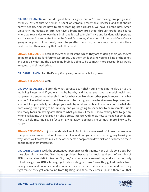**DR. DANIEL AMEN:** We can do great brain surgery, but we're not making any progress in chronic... 75% of that \$4 trillion is spent on chronic, preventable illnesses, and that should horrify people. And we have to start teaching little children. We have a brand new, Amen University, my education arm, we have a brand-new pre-school through grade one course where we teach kids to love their brain and it's called Brain Thrive and it's done with puppets and it's super fun and cute. I know McDonald's is going after your children, and Coca-Cola is going after your children. Well, I want to go after them too, but in a way that sustains their health rather than in a way that hurts their health.

**SHAWN STEVENSON:** Yeah. If they're as intelligent, which they are at doing their job, they're going to be looking for lifetime customers. Get them while they're young is kind of the tenet, and especially getting the developing brain is going to be so much more susceptible, I would imagine, to their marketing...

**DR. DANIEL AMEN:** And that's why God gave you parents, but if you're...

# **SHAWN STEVENSON:** Yeah.

**DR. DANIEL AMEN:** Children do what parents do, right? You're modeling health, or you're modeling illness. And if you want to be healthy and happy, you have to model health and happiness. So secret number six is notice what you like about other people more than what you don't. I love that one so much because to be happy, you have to give away happiness, and you do it like you totally can shape your wife by what you notice. If you only notice what she does wrong, she's going to be unhappy, and you're going to shape her to be miserable. But if you really focus on paying attention to what you like... I mean, I know exactly how to get my wife to yell at me. She has red hair, she's pretty intense. And I know how to make her smile and want to hold me. And so, if I focus on giving away happiness, I'm so much more likely to be happy.

**SHAWN STEVENSON:** It just sounds intelligent. But I think, again, we don't know that we have that power and we're... I don't know what it is, and I've got you here so I'm going to ask you, why, when we know what makes the other person happy, would we pick on or choose to focus on the things that irritate us?

**DR. DANIEL AMEN:** Well, the spontaneous person plays this game. None of it is conscious, but they play this game called "Let's have a problem" because it stimulates them. I often think of ADD is adrenaline deficit disorder. So, they're often adrenaline-seeking. And you can actually tell when a girl has ADD, a teenage girl, by her dating patterns, 'cause they get adrenaline from falling in love and dopamine, and so what you see with them is they fall in love, and then they [fight](https://themodelhealthshow.com/dr-daniel-amen/) '[cause they get adrenaline from fighting, and then they break up, and there](https://themodelhealthshow.com/dr-daniel-amen/)'[s all that](https://themodelhealthshow.com/dr-daniel-amen/)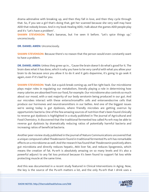drama adrenaline with breaking up, and then they fall in love, and then they cycle through that. So, if you see a girl that's doing that, get her scanned because she very well may have ADD that nobody knows. And in my book Healing ADD, I talk about the games ADD people play and it's "Let's have a problem".

**SHAWN STEVENSON:** That's bananas, but I've seen it before. "Let's spice things up," unconsciously.

**DR. DANIEL AMEN:** Unconsciously.

**SHAWN STEVENSON:** Because there's no reason that the person would even constantly want to have a problem.

**DR. DANIEL AMEN:** Unless they grew up in... 'Cause the brain doesn't do what's good for it. The brain does what it has done, which is why you have to be very careful with what you allow your brain to do because once you allow it to do it and it gets dopamine, it's going to go seek it again, even if it's bad for you.

**SHAWN STEVENSON:** Yeah. Got a quick break coming up, we'll be right back. Our microbiome plays major roles in regulating our metabolism, literally playing a role in determining how many calories are absorbed from our food, for example. Our microbiome also controls so much about our mood, with a vast majority of our body serotonin being produced in our gut. And our microbes interact with these enterochromaffin cells and enteroendocrine cells that produce our hormones and neurotransmitters in our bellies. And one of the biggest issues we're seeing today is gut dysbiosis, where friendly microbes are getting overrun by opportunistic bacteria. One of the few amazing sources of nutrition that's been found clinically to reverse gut dysbiosis is highlighted in a study published in The Journal of Agricultural and Food Chemistry. It discovered that the traditional fermented tea called Pu-erh may be able to reverse gut dysbiosis by dramatically reducing ratios of potentially harmful bacteria and increasing ratios of beneficial bacteria.

Another peer-review study published in the journal of Nature Communications uncovered that a unique compound called Theabrownin found in traditional fermented Pu-erh has remarkable effects on a microbiome as well. And the research has found that Theabrownin positively alters gut microbiota and directly reduces hepatic, AKA liver fat, and reduces lipogenesis, which means the creation of fat. Pu-erh is absolutely amazing on so many levels and it's also a powerful adjunct to any fat loss protocol because it's been found to support fat loss while protecting muscle at the same time.

And this was documented in a recent study featured in Clinical Interventions in Aging. Now, [the key is the source of the Pu-erh matters a lot, and the only Pu-erh that I drink uses a](https://themodelhealthshow.com/dr-daniel-amen/) 

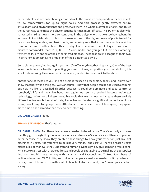patented cold extraction technology that extracts the bioactive compounds in the tea at cold to low temperatures for up to eight hours. And this process gently extracts natural antioxidants and phytonutrients and preserves them in a whole bioavailable form, and this is the purest way to extract the phytonutrients for maximum efficacy. This Pu-erh is also wildharvested, making it even more concentrated in the polyphenols that we see having benefits in those clinical trials. Also, triple toxin screen for one of the highest levels of purity tested for pesticides, heavy metals, and toxic molds, and making sure that it's not in your tea, which is common in most other teas. This is why I'm a massive fan of Pique teas. Go to piquetea.com/model, that's P-I-Q-U-E-T-E-A.com/model, and you get 10% off their amazing, fermented Pu-erh and all of their other incredible teas. These teas are in a league of their own. Their Pu-erh is amazing. I'm a huge fan of their ginger tea as well.

Go to piquetea.com/model. Again, you get 10% off everything that they carry. One of the best investments in your health, supporting your microbiome, supporting your metabolism, it is absolutely amazing. Head over to piquetea.com/model. And now back to the show.

Another one of these lies you kind of dissect is focused on technology today, and I didn't even know that there was a thing as... Well, of course, I know that people can be addicted to gaming, but now it's like a classified disorder because it could so dominate and take control of somebody's life and their livelihood. But again, we seem so evolved because we've got technology, we've got all these incredible tools that we can use and create these entirely different universes, but most of it right now has confiscated a significant percentage of our focus, I would say. And you put one little statistic that a nice chunk of teenagers, they spend more time on social media than they do even sleeping.

**DR. DANIEL AMEN:** Right.

**SHAWN STEVENSON:** That's insane.

**DR. DANIEL AMEN:** And these devices were created to be addictive. There's actually a process that they go through, they hire neuroscientists, and many in Silicon Valley will take a dopamine detox because they know they created these things to hook your attention just like slot machines in Vegas. And you have to be just very mindful and careful. There's a reason Vegas makes a lot of money; is they understand human psychology. So, give someone free alcohol with a cute waitress with a low-cut dress, and people are not going to be making the best poker decisions. And it's the same way with Instagram and Facebook and TikTok. Now I have 1.2 million followers on Tik Tok. I figured out what people are really interested in. But you have to be very careful because it's with a whole bunch of stuff you really don't want your children seeing.

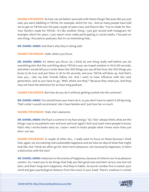**SHAWN STEVENSON:** So how can we better associate with these things? Because like you just said, you were dabbling in TikTok, for example, which for me... And so many people have told me to get on TikTok over the past couple of years now, and they're like, "You're made for this. Your family's made for TikTok." It's like another thing. I just got versed with Instagram, for example, which for years, I just wasn't even really participating in social media. I focused on one thing, I focused on podcasts. But it's so interesting that...

**DR. DANIEL AMEN:** And that's why they're doing well.

**SHAWN STEVENSON:** Yeah, where you focus.

**DR. DANIEL AMEN:** It's where you focus. So, I think do one thing really well before you do something else. But the cool thing about TikTok is you can impart wisdom in 30 to 90 seconds, and what I would tell you is write down the 300 things you say all the time, the 300 things you know to be true and put them in 30 to 60 seconds, and your TikTok will blow up. And that's how you... Like my kids' friends follow me. And I want to have influence with the next generation, and so you have to go, "Well, where are they?" Because they need you. And they may not have the attention for an hour-long podcast.

**SHAWN STEVENSON:** But how do you do it without getting sucked into the universe?

**DR. DANIEL AMEN:** You should have your team do it, so you don't have to watch it all day long. That's what I would recommend. Like I have Natalie and I just love her so much.

**SHAWN STEVENSON:** Yeah, she's awesome.

**DR. DANIEL AMEN:** She'll put a camera in my face and go, "Go." But I always think, what are the things I say to my patients over and over and over again? And I just want more people to know, that's why I wrote books early on, 'cause I want to teach people what I know more than just who I can see.

**SHAWN STEVENSON:** A couple of other lies... I really want to focus on these because I think that, again, we are wanting real sustainable happiness and we have an idea of what that might look like, but I think we often go for short-term pleasures, not necessarily happiness. Is there a distinction with the two?

**DR. DANIEL AMEN:** Hedonism is the enemy of happiness, because of where's our true pleasure centers. So, I want you to do things that help you feel good now and later versus now but not later, and that's long-term happiness. And they're habits. So secret number five is master your [mind and gain psychological distance from the noise in your head. There](https://themodelhealthshow.com/dr-daniel-amen/)'[s nowhere in school](https://themodelhealthshow.com/dr-daniel-amen/)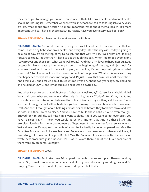they teach you to manage your mind. How insane is that? Like brain health and mental health should be like English. Remember when we were in school, we had to take English every year? It's like, what about brain health? It's more important. What about mental health? It's more important. And so, I have all these little, tiny habits. Have you ever interviewed BJ Fogg?

**SHAWN STEVENSON:** I have not. I was at an event with him.

**DR. DANIEL AMEN:** You would love him, he's great. Well, I hired him for six months, so that we come up with tiny habits for brain health, and every day I start the day with, today is going to be a great day. It's on the top of my to-do list. And that way I'm like, "Well, what am I looking forward to today?" rather than "I have to get through this day." When I go to bed every night, I say a prayer and then I go, "What went well today?" And that's my favorite happiness strategy because it's like a treasure hunt where I start at the beginning of the day, and I just look for what went well. And the bad things will pop up, and I'm like, it's not the point right now. What went well? And I even look for the micro-moments of happiness, "What's this smallest thing that happened today that made me happy? And it's just... I love that so much, and I remember... And I think you and I talked about this last time I was on. About two years ago, my dad died, and he died of COVID, and it was terrible, and it was an awful day.

And when I went to bed that night, I went, "What went well today?" 'Cause, it's my habit, right? Your brain does what you've done. And initially, I'm like, "Really? Today?" But it's my habit. And I thought about an interaction between the police officer and my mother, and it was so funny, and then I thought about all the texts I've gotten from my friends and how much... How loved I felt. And then I thought about holding my father's hand before they took him away, and was so soft, and then I went to sleep. And you have to build these habits. 'Cause even though I grieved for him, still do, still miss him, I went to sleep. And if you want to get over grief, you have to sleep, right? I mean, you would agree with me on that. And it's these little, tiny exercises, looking for the micro-moments of happiness. I have another fun exercise where... Write down the 20 happiest moments of your life. I actually had one happened last May, the Canadian Association of Nuclear Medicine. So, my work has been very controversial, I've got no end of grief from my colleagues. But last May, the Canadian Association of Nuclear medicine wrote new procedure guidelines for SPECT as if I wrote them, and of the 10 authors, five of them were my students. So happy.

# **SHAWN STEVENSON:** Wow.

**DR. DANIEL AMEN:** But I take those 20 happiest moments of mine and I plant them around my house. So, I'd make an association in my mind like my front door is my wedding day, and I'm carrying Tana over the threshold, and I almost drop her, but that's...

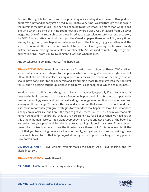Because the night before when we were practicing our wedding dance, I almost Dropped her, but it was funny and nobody got a head injury. That, every time I walked through the door, plus that reminds me how much I love her, so I'm going to notice what I like more than what I don't like. And when I go into the living room now, it's where I was... Got an award from Discover Magazine. One of my research papers was listed as the top science story, neuroscience story for 2015. That's pretty cool. And then I put the Canadian paper there as well. So, every time I see my living room, I see happiness. Whenever I go to the kitchen, my grandfather is at the stove, I'm named after him, he was my best friend when I was growing up, he was a candy maker, and we're making brain-healthy hot chocolate. So, we used to make fudge together, but I'm like, "No, I want you to live longer." It was sad when he died.

And so, wherever I go in my house, I find happiness.

**SHAWN STEVENSON:** Wow, I love this so much. So just to wrap things up, these... We're talking about real sustainable strategies for happiness, which is coming at a premium right now, but I think that all that's taken place is a big opportunity for us to do some of the things that we should have done prior to the pandemic, and it's bringing those things right into the spotlight for us, but it's getting caught up in these short-term lies of happiness, which again, it's not...

We don't want to vilify these things, but I know that you will, especially if you know what it does to the brain, but we go to, if we are feeling unhappy, alcohol to lift us up, or a particular drug or technology even, and not understanding the long-term ramifications when we keep leaning on those things. Those are the lies, and you outline that so well in the book. And then also, most importantly, you give strategies for what does real happiness looks like, what does a happy brain looks like, and here's the map to get you there. So, it's just... You're a remarkable human being and I'm so grateful that you're here right now for all of us when we need you at this time in human history. And I want everybody to run out and get a copy of the book like yesterday, "You, Happier". And literally, when I was reading this book, it came up for me several times which is like, how do you have the time to create these books? It is unbelievable. All the stuff that you have going on in your life, your family, and yet you just keep on writing these remarkable books for us that keep on just shooting to the top and reaching so many people. How do you do it?

**DR. DANIEL AMEN:** I love writing. Writing makes me happy. And I love sharing, and I'm disciplined. So...

**SHAWN STEVENSON: Yeah, there it is.** 

**DR. DANIEL AMEN:** Yeah, no, creating makes me happy.

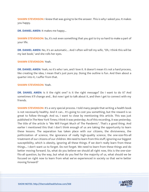**SHAWN STEVENSON:** I knew that was going to be the answer. This is why I asked you. It makes you happy.

**DR. DANIEL AMEN:** It makes me happy...

**SHAWN STEVENSON:** So, it's not even something that you got to try so hard to make a part of your life.

**DR. DANIEL AMEN:** No, it's an automatic... And I often will tell my wife, "Oh, I think this will be my last book," and she rolls her eyes.

#### **SHAWN STEVENSON:** Yeah.

**DR. DANIEL AMEN:** Yeah, no it's who I am, and I love it. It doesn't mean it's not a hard process, like creating the idea, I mean that's just pure joy. Doing the outline is fun. And then about a quarter into it, I suffer from that.

#### **SHAWN STEVENSON:** Yeah.

**DR. DANIEL AMEN:** Is it the right one? Is it the right message? Do I want to do it? And sometimes it'll change and... But now I get to talk about it, and then I get to connect with my friends.

**SHAWN STEVENSON:** It's a very special process. I told many people that writing a health book is not necessarily healthy. And it can... It's going to cost you something, but the reward is so great to follow through. And so, I want to close by mentioning this article. This was just published in The New York Times; I think it was yesterday. As of this recording, it was yesterday. The title of the article is "We Will Forget Much of The Pandemic". That's a good thing. And earlier I mentioned this that I don't think enough of us are taking the opportunity to learn these lessons. The separation has taken place with our citizens, the divisiveness, the politicization of science, the ignorance of really high-quality science, the one-size-fits-all treatment of our citizens of our children. We need to learn from this stuff, ignoring our biggest susceptibility, which is obesity, ignoring all these things. If we don't really learn from these things... I don't want us to forget. Do not forget. We need to learn from these things and do better moving forward. So, what do you believe we should all right now, this is the one-sizefits-all question, by the way, but what do you feel for the majority of us, what should we be focused on right now to learn from what we've experienced in society so that we're better moving forward?

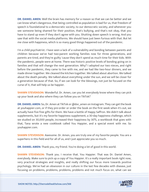**DR. DANIEL AMEN:** Well the brain has memory for a reason so that we can be better and we can know what's dangerous, that being controlled as population is bad for us, that freedom of speech is foundational to a democratic society, to our democratic society, and whenever you see someone being shamed for their position, that's bullying, and that's not okay, that you have to stand up even if they don't agree with you. Shutting down speech is wrong. And you saw that with the social media platforms. We should have just been furious with that. But let me close with happiness, which is so many good things happened out of the pandemic.

I'm a child psychiatrist. I have seen a lack of a vulnerability and bonding between parents and children because we've had two-parent working families now for three generations, and parents are tired, and they're guilty 'cause they don't spend as much time for their kids. With the pandemic, people were at home. There was historic positive levels of bonding going on in families and that will change the next generation. Why? I adopted our two nieces, and right before the pandemic, they came to live with me, and we had like two-hour dinners, and we made dinner together. We cleaned the kitchen together. We talked about abortion. We talked about the death penalty. We talked about everything under the sun, and we will be closer for a generation because of that. So, if we can look for the blessings, not just be focused on the curse of it, that will help us be happier.

**SHAWN STEVENSON:** Wonderful. Dr. Amen, can you let everybody know where they can pick up your book and also where they can follow you on TikTok?

**DR. DANIEL AMEN:** So, Dr. Amen at TikTok or @doc\_amen on Instagram. They can get the book at youhappier.com, or if they pre-order or order the book on the first week when it's out, we actually have five free gifts for them. We have a bottle of Happy Saffron. We didn't talk about supplements, but it's my favorite happiness supplement, a 30-day happiness challenge, which we studied on 30,000 people, increased their happiness by 30%, a workbook that goes with that, Tana wrote a new cookbook called You Happier, and a special event with me. So youhappier.com.

**SHAWN STEVENSON:** Awesome. Dr. Amen, you are truly one of my favorite people. You are a superhero in this field and for all of us, and I just appreciate you so much.

**DR. DANIEL AMEN:** Thank you, my friend. You're doing a lot of good in this world.

**SHAWN STEVENSON:** Thank you. I receive that. You Happier. That was Dr. Daniel Amen, everybody. Make sure to pick up a copy of You Happier. It's a really important book right now, very practical strategies and insights, and really shifting our focus more towards positive psychology. We've had an obsession in our culture in the last few decades with disease, just [focusing on problems, problems, problems, problems and not much focus on, what can we](https://themodelhealthshow.com/dr-daniel-amen/)